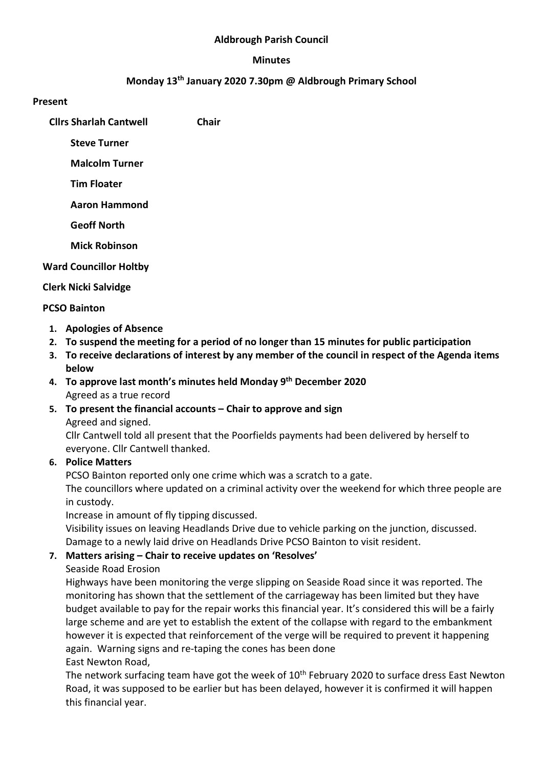### Aldbrough Parish Council

#### Minutes

# Monday 13th January 2020 7.30pm @ Aldbrough Primary School

#### Present

Cllrs Sharlah Cantwell Chair

Steve Turner

Malcolm Turner

Tim Floater

Aaron Hammond

Geoff North

Mick Robinson

### Ward Councillor Holtby

### Clerk Nicki Salvidge

### PCSO Bainton

- 1. Apologies of Absence
- 2. To suspend the meeting for a period of no longer than 15 minutes for public participation
- 3. To receive declarations of interest by any member of the council in respect of the Agenda items below
- 4. To approve last month's minutes held Monday 9th December 2020 Agreed as a true record
- 5. To present the financial accounts Chair to approve and sign Agreed and signed.

Cllr Cantwell told all present that the Poorfields payments had been delivered by herself to everyone. Cllr Cantwell thanked.

## 6. Police Matters

PCSO Bainton reported only one crime which was a scratch to a gate.

The councillors where updated on a criminal activity over the weekend for which three people are in custody.

Increase in amount of fly tipping discussed.

Visibility issues on leaving Headlands Drive due to vehicle parking on the junction, discussed. Damage to a newly laid drive on Headlands Drive PCSO Bainton to visit resident.

## 7. Matters arising – Chair to receive updates on 'Resolves'

Seaside Road Erosion

Highways have been monitoring the verge slipping on Seaside Road since it was reported. The monitoring has shown that the settlement of the carriageway has been limited but they have budget available to pay for the repair works this financial year. It's considered this will be a fairly large scheme and are yet to establish the extent of the collapse with regard to the embankment however it is expected that reinforcement of the verge will be required to prevent it happening again. Warning signs and re-taping the cones has been done

East Newton Road,

The network surfacing team have got the week of 10<sup>th</sup> February 2020 to surface dress East Newton Road, it was supposed to be earlier but has been delayed, however it is confirmed it will happen this financial year.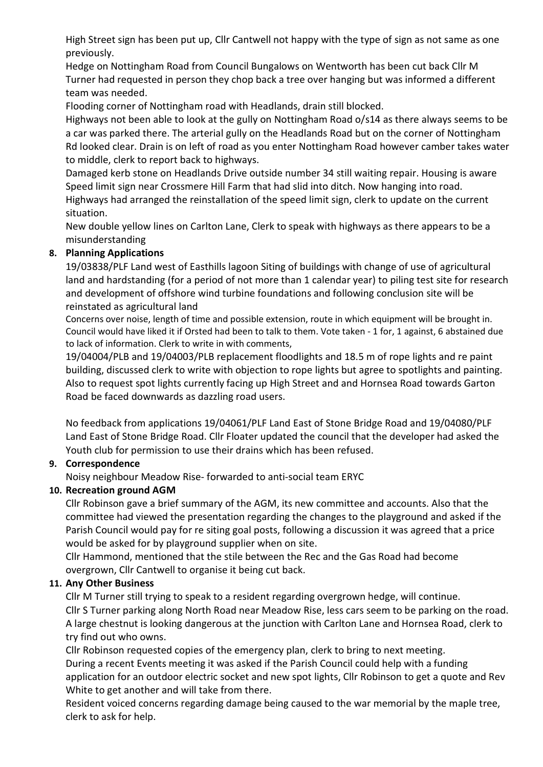High Street sign has been put up, Cllr Cantwell not happy with the type of sign as not same as one previously.

Hedge on Nottingham Road from Council Bungalows on Wentworth has been cut back Cllr M Turner had requested in person they chop back a tree over hanging but was informed a different team was needed.

Flooding corner of Nottingham road with Headlands, drain still blocked.

Highways not been able to look at the gully on Nottingham Road o/s14 as there always seems to be a car was parked there. The arterial gully on the Headlands Road but on the corner of Nottingham Rd looked clear. Drain is on left of road as you enter Nottingham Road however camber takes water to middle, clerk to report back to highways.

Damaged kerb stone on Headlands Drive outside number 34 still waiting repair. Housing is aware Speed limit sign near Crossmere Hill Farm that had slid into ditch. Now hanging into road. Highways had arranged the reinstallation of the speed limit sign, clerk to update on the current situation.

New double yellow lines on Carlton Lane, Clerk to speak with highways as there appears to be a misunderstanding

# 8. Planning Applications

19/03838/PLF Land west of Easthills lagoon Siting of buildings with change of use of agricultural land and hardstanding (for a period of not more than 1 calendar year) to piling test site for research and development of offshore wind turbine foundations and following conclusion site will be reinstated as agricultural land

Concerns over noise, length of time and possible extension, route in which equipment will be brought in. Council would have liked it if Orsted had been to talk to them. Vote taken - 1 for, 1 against, 6 abstained due to lack of information. Clerk to write in with comments,

19/04004/PLB and 19/04003/PLB replacement floodlights and 18.5 m of rope lights and re paint building, discussed clerk to write with objection to rope lights but agree to spotlights and painting. Also to request spot lights currently facing up High Street and and Hornsea Road towards Garton Road be faced downwards as dazzling road users.

No feedback from applications 19/04061/PLF Land East of Stone Bridge Road and 19/04080/PLF Land East of Stone Bridge Road. Cllr Floater updated the council that the developer had asked the Youth club for permission to use their drains which has been refused.

## 9. Correspondence

Noisy neighbour Meadow Rise- forwarded to anti-social team ERYC

## 10. Recreation ground AGM

Cllr Robinson gave a brief summary of the AGM, its new committee and accounts. Also that the committee had viewed the presentation regarding the changes to the playground and asked if the Parish Council would pay for re siting goal posts, following a discussion it was agreed that a price would be asked for by playground supplier when on site.

Cllr Hammond, mentioned that the stile between the Rec and the Gas Road had become overgrown, Cllr Cantwell to organise it being cut back.

## 11. Any Other Business

Cllr M Turner still trying to speak to a resident regarding overgrown hedge, will continue. Cllr S Turner parking along North Road near Meadow Rise, less cars seem to be parking on the road. A large chestnut is looking dangerous at the junction with Carlton Lane and Hornsea Road, clerk to try find out who owns.

Cllr Robinson requested copies of the emergency plan, clerk to bring to next meeting. During a recent Events meeting it was asked if the Parish Council could help with a funding application for an outdoor electric socket and new spot lights, Cllr Robinson to get a quote and Rev White to get another and will take from there.

Resident voiced concerns regarding damage being caused to the war memorial by the maple tree, clerk to ask for help.